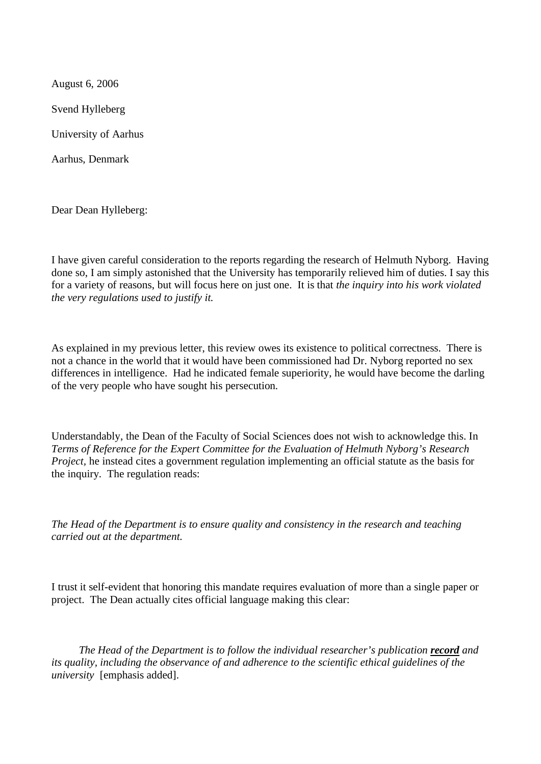August 6, 2006 Svend Hylleberg University of Aarhus Aarhus, Denmark

Dear Dean Hylleberg:

I have given careful consideration to the reports regarding the research of Helmuth Nyborg. Having done so, I am simply astonished that the University has temporarily relieved him of duties. I say this for a variety of reasons, but will focus here on just one. It is that *the inquiry into his work violated the very regulations used to justify it.*

As explained in my previous letter, this review owes its existence to political correctness. There is not a chance in the world that it would have been commissioned had Dr. Nyborg reported no sex differences in intelligence. Had he indicated female superiority, he would have become the darling of the very people who have sought his persecution.

Understandably, the Dean of the Faculty of Social Sciences does not wish to acknowledge this. In *Terms of Reference for the Expert Committee for the Evaluation of Helmuth Nyborg's Research Project*, he instead cites a government regulation implementing an official statute as the basis for the inquiry. The regulation reads:

*The Head of the Department is to ensure quality and consistency in the research and teaching carried out at the department.*

I trust it self-evident that honoring this mandate requires evaluation of more than a single paper or project. The Dean actually cites official language making this clear:

 *The Head of the Department is to follow the individual researcher's publication record and its quality, including the observance of and adherence to the scientific ethical guidelines of the university* [emphasis added].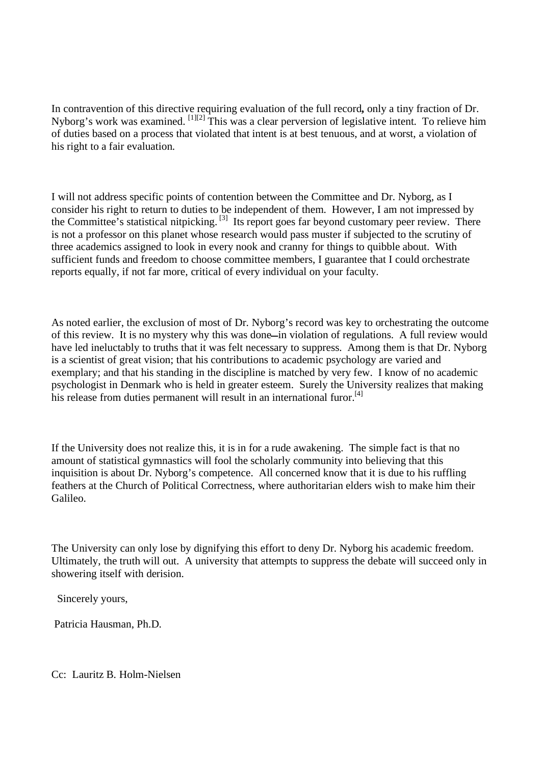In contravention of this directive requiring evaluation of the full record**,** only a tiny fraction of Dr. Nyborg's work was examined. <sup>[1][2]</sup> This was a clear perversion of legislative intent. To relieve him of duties based on a process that violated that intent is at best tenuous, and at worst, a violation of his right to a fair evaluation.

I will not address specific points of contention between the Committee and Dr. Nyborg, as I consider his right to return to duties to be independent of them. However, I am not impressed by the Committee's statistical nitpicking. [3] Its report goes far beyond customary peer review. There is not a professor on this planet whose research would pass muster if subjected to the scrutiny of three academics assigned to look in every nook and cranny for things to quibble about. With sufficient funds and freedom to choose committee members, I guarantee that I could orchestrate reports equally, if not far more, critical of every individual on your faculty.

As noted earlier, the exclusion of most of Dr. Nyborg's record was key to orchestrating the outcome of this review. It is no mystery why this was done-in violation of regulations. A full review would have led ineluctably to truths that it was felt necessary to suppress. Among them is that Dr. Nyborg is a scientist of great vision; that his contributions to academic psychology are varied and exemplary; and that his standing in the discipline is matched by very few. I know of no academic psychologist in Denmark who is held in greater esteem. Surely the University realizes that making his release from duties permanent will result in an international furor.<sup>[4]</sup>

If the University does not realize this, it is in for a rude awakening. The simple fact is that no amount of statistical gymnastics will fool the scholarly community into believing that this inquisition is about Dr. Nyborg's competence. All concerned know that it is due to his ruffling feathers at the Church of Political Correctness, where authoritarian elders wish to make him their Galileo.

The University can only lose by dignifying this effort to deny Dr. Nyborg his academic freedom. Ultimately, the truth will out. A university that attempts to suppress the debate will succeed only in showering itself with derision.

Sincerely yours,

Patricia Hausman, Ph.D.

Cc: Lauritz B. Holm-Nielsen